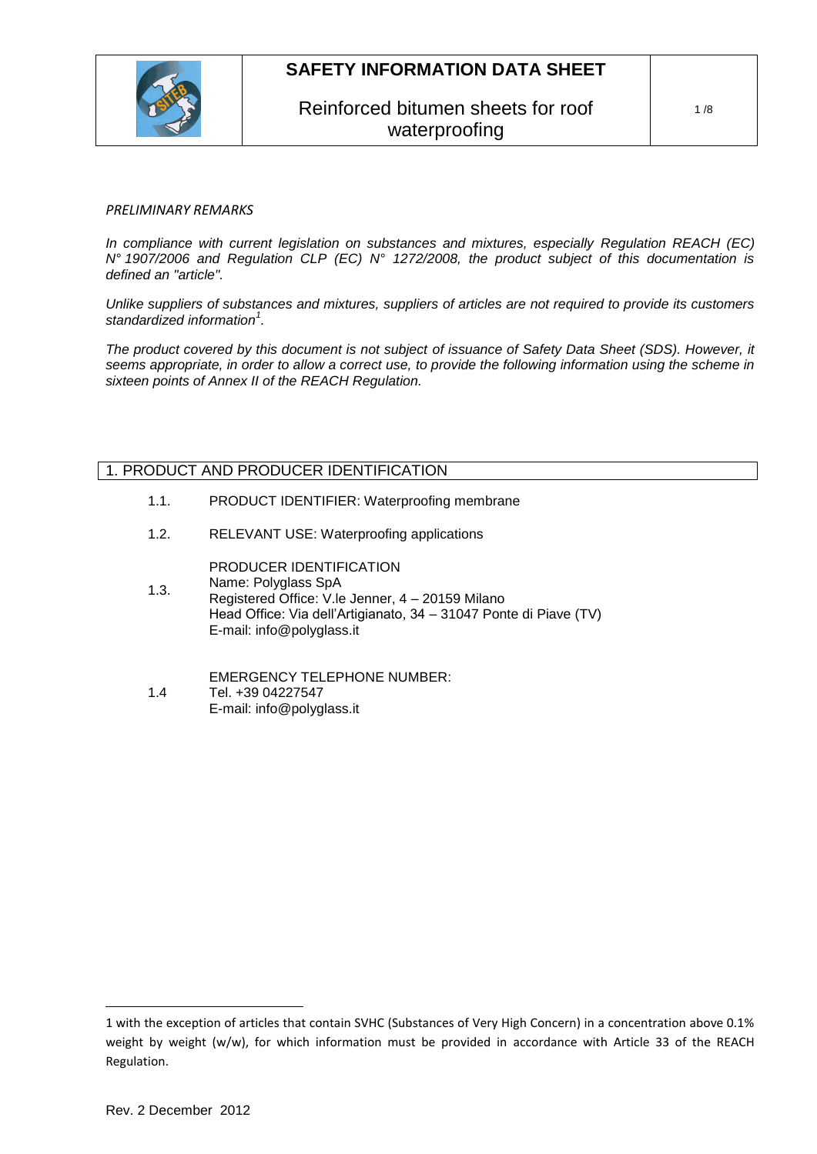

## Reinforced bitumen sheets for roof waterproofing

#### *PRELIMINARY REMARKS*

*In compliance with current legislation on substances and mixtures, especially Regulation REACH (EC) N° 1907/2006 and Regulation CLP (EC) N° 1272/2008, the product subject of this documentation is defined an "article".*

*Unlike suppliers of substances and mixtures, suppliers of articles are not required to provide its customers standardized information<sup>1</sup> .*

*The product covered by this document is not subject of issuance of Safety Data Sheet (SDS). However, it seems appropriate, in order to allow a correct use, to provide the following information using the scheme in sixteen points of Annex II of the REACH Regulation.*

## 1. PRODUCT AND PRODUCER IDENTIFICATION

- 1.1. PRODUCT IDENTIFIER: Waterproofing membrane
- 1.2. RELEVANT USE: Waterproofing applications

PRODUCER IDENTIFICATION

- 1.3. Name: Polyglass SpA Registered Office: V.le Jenner, 4 – 20159 Milano Head Office: Via dell'Artigianato, 34 – 31047 Ponte di Piave (TV) E-mail: info@polyglass.it
- 1.4 EMERGENCY TELEPHONE NUMBER: Tel. +39 04227547 E-mail: info@polyglass.it

 $\overline{a}$ 

<sup>1</sup> with the exception of articles that contain SVHC (Substances of Very High Concern) in a concentration above 0.1% weight by weight (w/w), for which information must be provided in accordance with Article 33 of the REACH Regulation.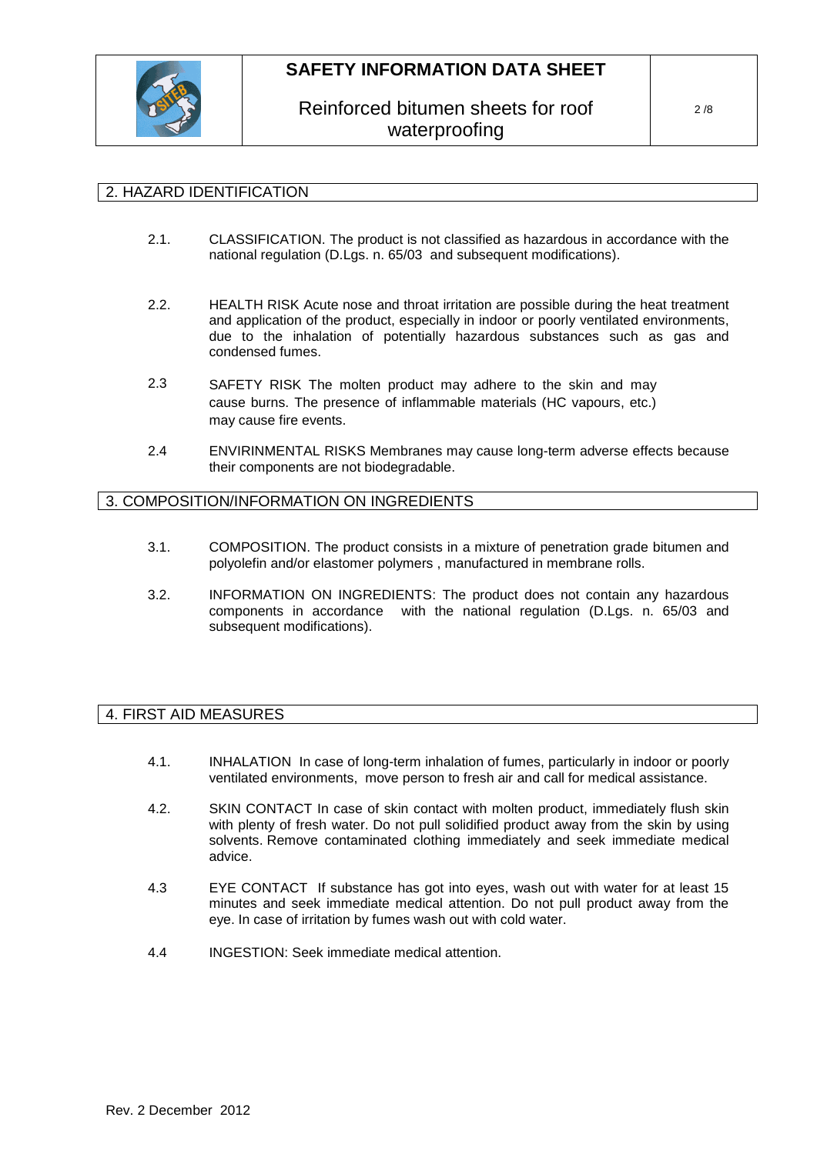

## Reinforced bitumen sheets for roof waterproofing

## 2. HAZARD IDENTIFICATION

- 2.1. CLASSIFICATION. The product is not classified as hazardous in accordance with the national regulation (D.Lgs. n. 65/03 and subsequent modifications).
- 2.2. HEALTH RISK Acute nose and throat irritation are possible during the heat treatment and application of the product, especially in indoor or poorly ventilated environments, due to the inhalation of potentially hazardous substances such as gas and condensed fumes.
- 2.3 SAFETY RISK The molten product may adhere to the skin and may cause burns. The presence of inflammable materials (HC vapours, etc.) may cause fire events.
- 2.4 ENVIRINMENTAL RISKS Membranes may cause long-term adverse effects because their components are not biodegradable.

## 3. COMPOSITION/INFORMATION ON INGREDIENTS

- 3.1. COMPOSITION. The product consists in a mixture of penetration grade bitumen and polyolefin and/or elastomer polymers , manufactured in membrane rolls.
- 3.2. INFORMATION ON INGREDIENTS: The product does not contain any hazardous components in accordance with the national regulation (D.Lgs. n. 65/03 and subsequent modifications).

## 4. FIRST AID MEASURES

- 4.1. INHALATION In case of long-term inhalation of fumes, particularly in indoor or poorly ventilated environments, move person to fresh air and call for medical assistance.
- 4.2. SKIN CONTACT In case of skin contact with molten product, immediately flush skin with plenty of fresh water. Do not pull solidified product away from the skin by using solvents. Remove contaminated clothing immediately and seek immediate medical advice.
- 4.3 EYE CONTACT If substance has got into eyes, wash out with water for at least 15 minutes and seek immediate medical attention. Do not pull product away from the eye. In case of irritation by fumes wash out with cold water.
- 4.4 INGESTION: Seek immediate medical attention.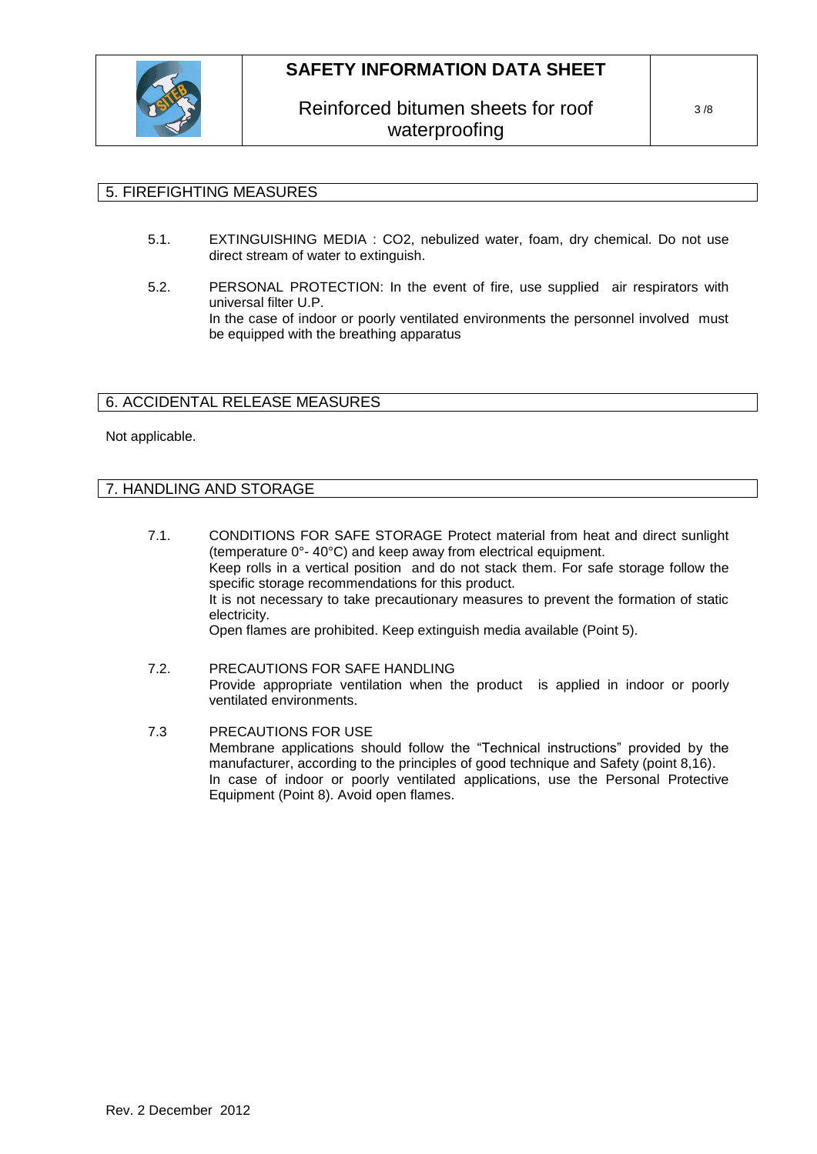

## Reinforced bitumen sheets for roof waterproofing

### 5. FIREFIGHTING MEASURES

- 5.1. EXTINGUISHING MEDIA : CO2, nebulized water, foam, dry chemical. Do not use direct stream of water to extinguish.
- 5.2. PERSONAL PROTECTION: In the event of fire, use supplied air respirators with universal filter U.P. In the case of indoor or poorly ventilated environments the personnel involved must be equipped with the breathing apparatus

## 6. ACCIDENTAL RELEASE MEASURES

#### Not applicable.

### 7. HANDLING AND STORAGE

- 7.1. CONDITIONS FOR SAFE STORAGE Protect material from heat and direct sunlight (temperature 0°- 40°C) and keep away from electrical equipment. Keep rolls in a vertical position and do not stack them. For safe storage follow the specific storage recommendations for this product. It is not necessary to take precautionary measures to prevent the formation of static electricity. Open flames are prohibited. Keep extinguish media available (Point 5).
- 7.2. PRECAUTIONS FOR SAFE HANDLING Provide appropriate ventilation when the product is applied in indoor or poorly ventilated environments.
- 7.3 PRECAUTIONS FOR USE Membrane applications should follow the "Technical instructions" provided by the manufacturer, according to the principles of good technique and Safety (point 8,16). In case of indoor or poorly ventilated applications, use the Personal Protective Equipment (Point 8). Avoid open flames.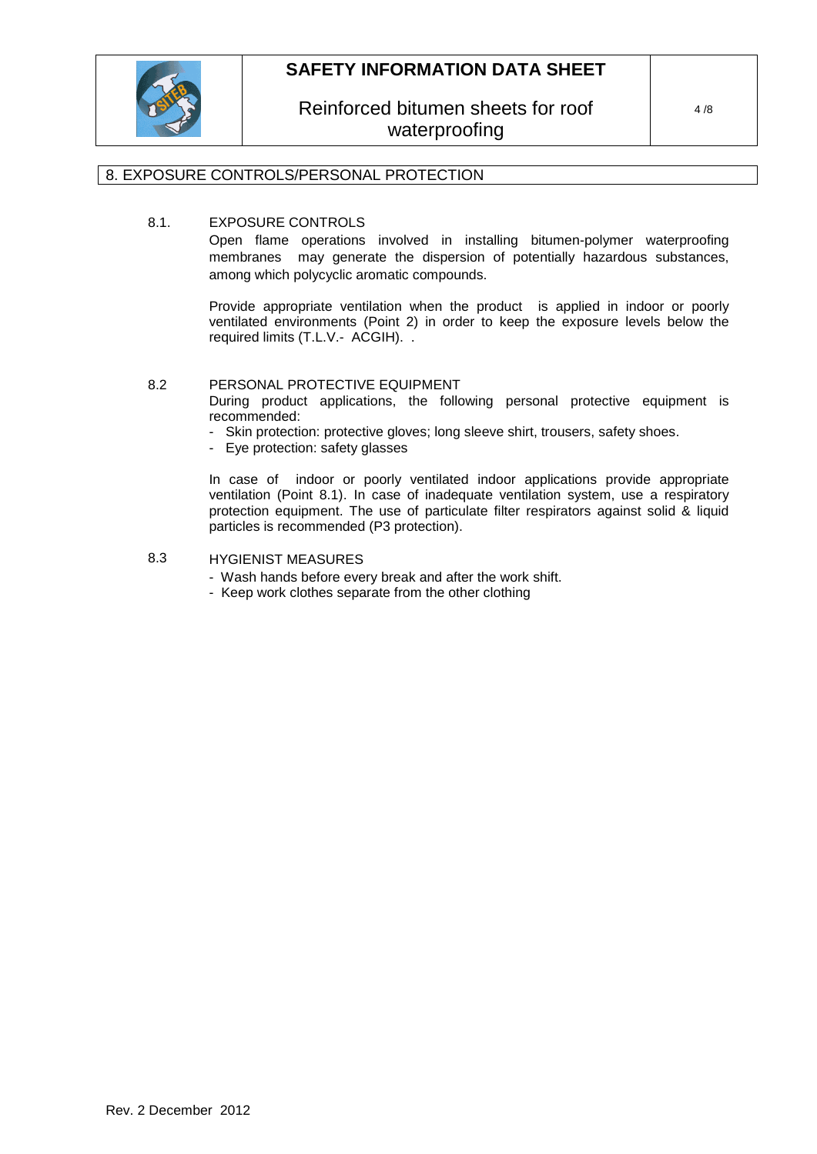

Reinforced bitumen sheets for roof waterproofing

## 8. EXPOSURE CONTROLS/PERSONAL PROTECTION

## 8.1. EXPOSURE CONTROLS

Open flame operations involved in installing bitumen-polymer waterproofing membranes may generate the dispersion of potentially hazardous substances, among which polycyclic aromatic compounds.

Provide appropriate ventilation when the product is applied in indoor or poorly ventilated environments (Point 2) in order to keep the exposure levels below the required limits (T.L.V.- ACGIH). .

#### 8.2 PERSONAL PROTECTIVE EQUIPMENT

During product applications, the following personal protective equipment is recommended:

- Skin protection: protective gloves; long sleeve shirt, trousers, safety shoes.
- Eye protection: safety glasses

In case of indoor or poorly ventilated indoor applications provide appropriate ventilation (Point 8.1). In case of inadequate ventilation system, use a respiratory protection equipment. The use of particulate filter respirators against solid & liquid particles is recommended (P3 protection).

## 8.3 HYGIENIST MEASURES

- Wash hands before every break and after the work shift.
- Keep work clothes separate from the other clothing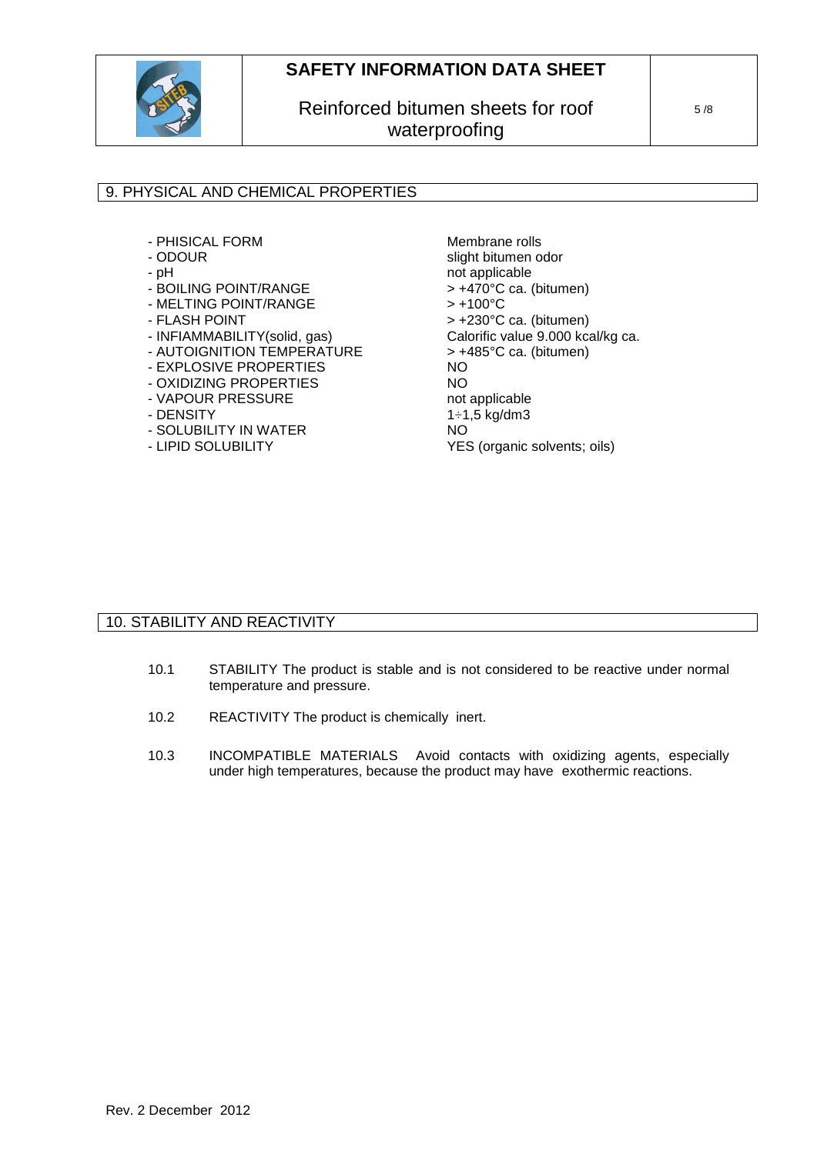

# Reinforced bitumen sheets for roof waterproofing

5 /8

## 9. PHYSICAL AND CHEMICAL PROPERTIES

- PHISICAL FORM
- ODOUR
- pH
- BOILING POINT/RANGE
- MELTING POINT/RANGE
- FLASH POINT
- INFIAMMABILITY(solid, gas)
- AUTOIGNITION TEMPERATURE
- EXPLOSIVE PROPERTIES
- OXIDIZING PROPERTIES
- VAPOUR PRESSURE
- DENSITY
- SOLUBILITY IN WATER
- LIPID SOLUBILITY

Membrane rolls slight bitumen odor not applicable > +470°C ca. (bitumen)  $> +100^{\circ}C$ > +230°C ca. (bitumen) Calorific value 9.000 kcal/kg ca. > +485°C ca. (bitumen) NO NO not applicable 1÷1,5 kg/dm3 NO YES (organic solvents; oils)

## 10. STABILITY AND REACTIVITY

- 10.1 STABILITY The product is stable and is not considered to be reactive under normal temperature and pressure.
- 10.2 REACTIVITY The product is chemically inert.
- 10.3 INCOMPATIBLE MATERIALS Avoid contacts with oxidizing agents, especially under high temperatures, because the product may have exothermic reactions.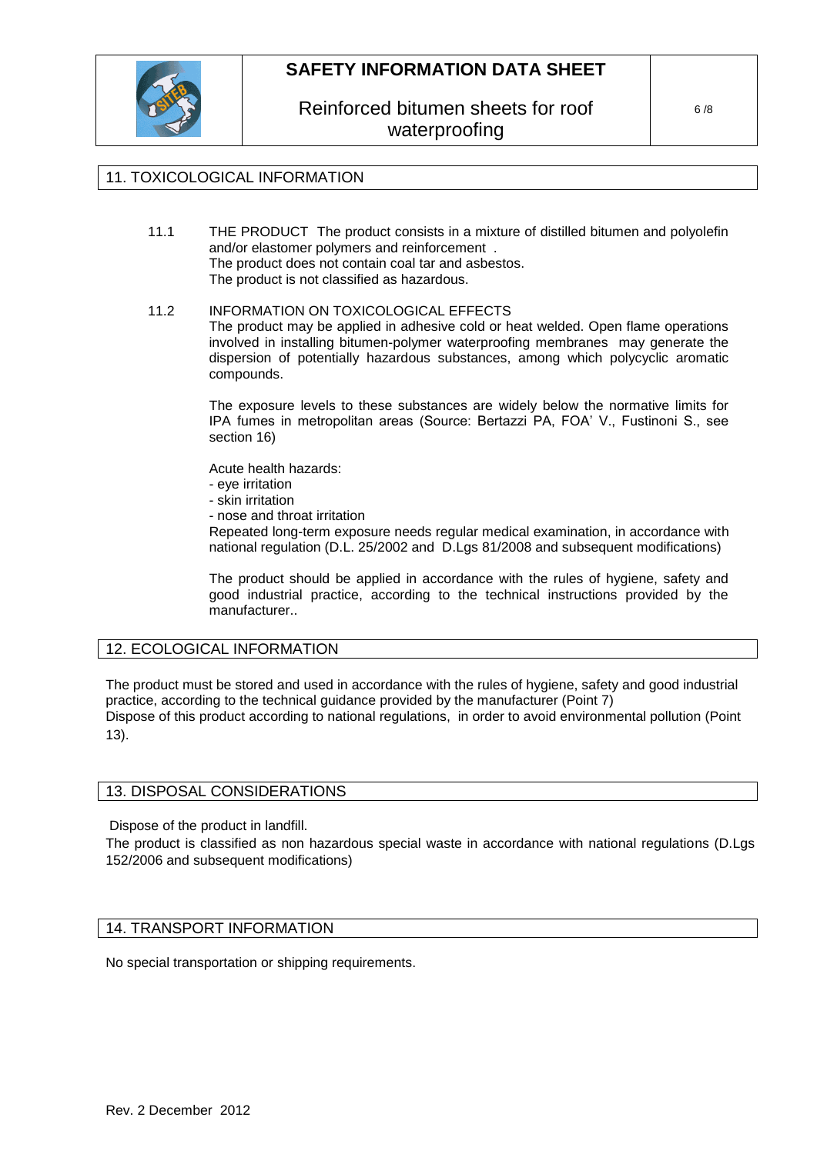

Reinforced bitumen sheets for roof waterproofing

## 11. TOXICOLOGICAL INFORMATION

11.1 THE PRODUCT The product consists in a mixture of distilled bitumen and polyolefin and/or elastomer polymers and reinforcement . The product does not contain coal tar and asbestos. The product is not classified as hazardous.

#### 11.2 INFORMATION ON TOXICOLOGICAL EFFECTS The product may be applied in adhesive cold or heat welded. Open flame operations involved in installing bitumen-polymer waterproofing membranes may generate the dispersion of potentially hazardous substances, among which polycyclic aromatic compounds.

The exposure levels to these substances are widely below the normative limits for IPA fumes in metropolitan areas (Source: Bertazzi PA, FOA' V., Fustinoni S., see section 16)

Acute health hazards:

- eye irritation
- skin irritation
- nose and throat irritation

Repeated long-term exposure needs regular medical examination, in accordance with national regulation (D.L. 25/2002 and D.Lgs 81/2008 and subsequent modifications)

The product should be applied in accordance with the rules of hygiene, safety and good industrial practice, according to the technical instructions provided by the manufacturer..

## 12. ECOLOGICAL INFORMATION

The product must be stored and used in accordance with the rules of hygiene, safety and good industrial practice, according to the technical guidance provided by the manufacturer (Point 7) Dispose of this product according to national regulations, in order to avoid environmental pollution (Point 13).

#### 13. DISPOSAL CONSIDERATIONS

Dispose of the product in landfill.

The product is classified as non hazardous special waste in accordance with national regulations (D.Lgs 152/2006 and subsequent modifications)

### 14. TRANSPORT INFORMATION

No special transportation or shipping requirements.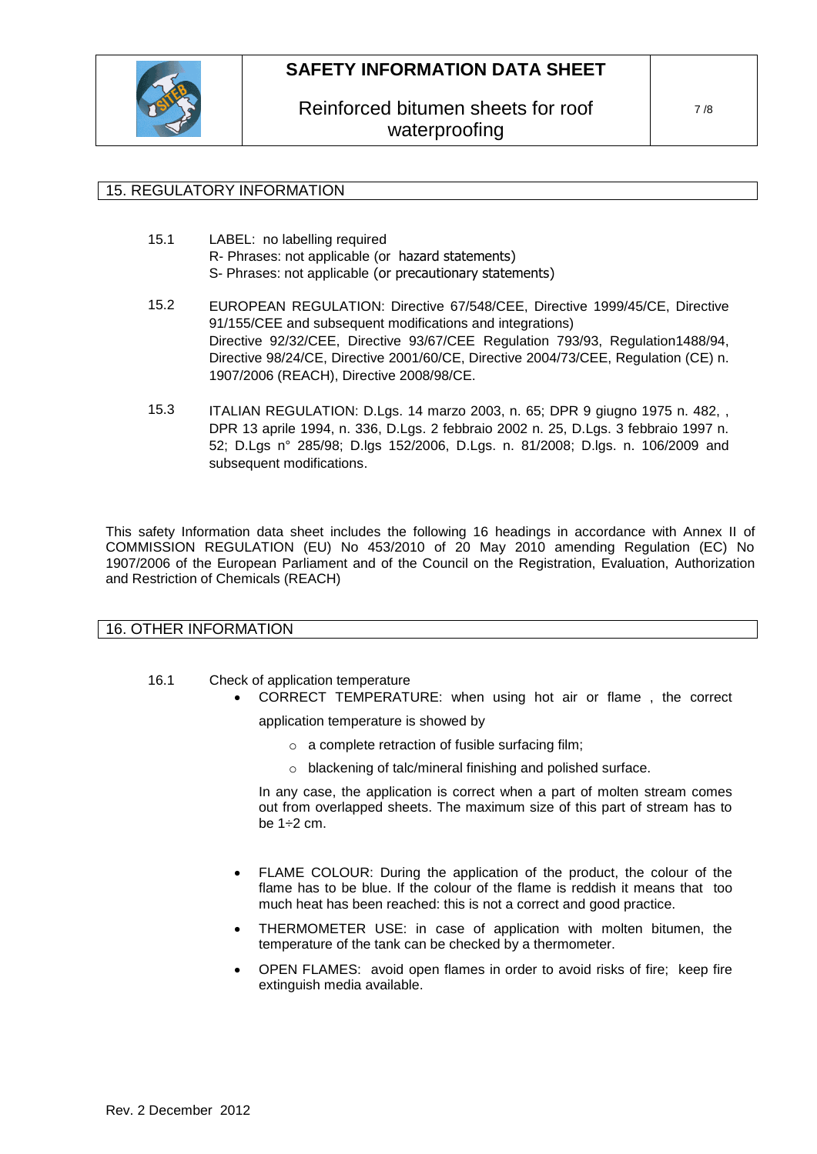

Reinforced bitumen sheets for roof waterproofing

## 15. REGULATORY INFORMATION

- 15.1 LABEL: no labelling required R- Phrases: not applicable (or hazard statements) S- Phrases: not applicable (or precautionary statements)
- 15.2 EUROPEAN REGULATION: Directive 67/548/CEE, Directive 1999/45/CE, Directive 91/155/CEE and subsequent modifications and integrations) Directive 92/32/CEE, Directive 93/67/CEE Regulation 793/93, Regulation1488/94, Directive 98/24/CE, Directive 2001/60/CE, Directive 2004/73/CEE, Regulation (CE) n. 1907/2006 (REACH), Directive 2008/98/CE.
- 15.3 ITALIAN REGULATION: D.Lgs. 14 marzo 2003, n. 65; DPR 9 giugno 1975 n. 482, , DPR 13 aprile 1994, n. 336, D.Lgs. 2 febbraio 2002 n. 25, D.Lgs. 3 febbraio 1997 n. 52; D.Lgs n° 285/98; D.lgs 152/2006, D.Lgs. n. 81/2008; D.lgs. n. 106/2009 and subsequent modifications.

This safety Information data sheet includes the following 16 headings in accordance with Annex II of COMMISSION REGULATION (EU) No 453/2010 of 20 May 2010 amending Regulation (EC) No 1907/2006 of the European Parliament and of the Council on the Registration, Evaluation, Authorization and Restriction of Chemicals (REACH)

#### 16. OTHER INFORMATION

- 16.1 Check of application temperature
	- CORRECT TEMPERATURE: when using hot air or flame , the correct application temperature is showed by

o a complete retraction of fusible surfacing film;

o blackening of talc/mineral finishing and polished surface.

In any case, the application is correct when a part of molten stream comes out from overlapped sheets. The maximum size of this part of stream has to be 1÷2 cm.

- FLAME COLOUR: During the application of the product, the colour of the flame has to be blue. If the colour of the flame is reddish it means that too much heat has been reached: this is not a correct and good practice.
- THERMOMETER USE: in case of application with molten bitumen, the temperature of the tank can be checked by a thermometer.
- OPEN FLAMES: avoid open flames in order to avoid risks of fire; keep fire extinguish media available.